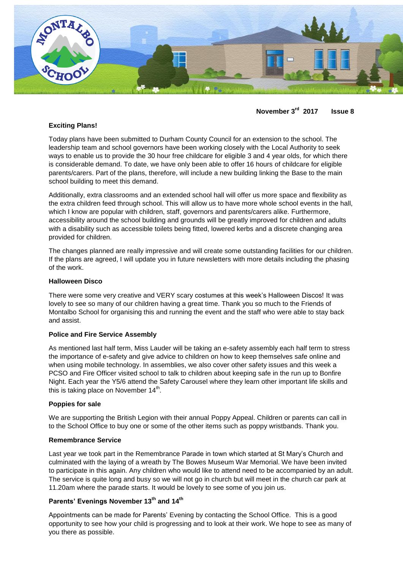

**November 3rd 2017 Issue 8**

# **Exciting Plans!**

Today plans have been submitted to Durham County Council for an extension to the school. The leadership team and school governors have been working closely with the Local Authority to seek ways to enable us to provide the 30 hour free childcare for eligible 3 and 4 year olds, for which there is considerable demand. To date, we have only been able to offer 16 hours of childcare for eligible parents/carers. Part of the plans, therefore, will include a new building linking the Base to the main school building to meet this demand.

Additionally, extra classrooms and an extended school hall will offer us more space and flexibility as the extra children feed through school. This will allow us to have more whole school events in the hall, which I know are popular with children, staff, governors and parents/carers alike. Furthermore, accessibility around the school building and grounds will be greatly improved for children and adults with a disability such as accessible toilets being fitted, lowered kerbs and a discrete changing area provided for children.

The changes planned are really impressive and will create some outstanding facilities for our children. If the plans are agreed, I will update you in future newsletters with more details including the phasing of the work.

## **Halloween Disco**

There were some very creative and VERY scary costumes at this week's Halloween Discos! It was lovely to see so many of our children having a great time. Thank you so much to the Friends of Montalbo School for organising this and running the event and the staff who were able to stay back and assist.

### **Police and Fire Service Assembly**

As mentioned last half term, Miss Lauder will be taking an e-safety assembly each half term to stress the importance of e-safety and give advice to children on how to keep themselves safe online and when using mobile technology. In assemblies, we also cover other safety issues and this week a PCSO and Fire Officer visited school to talk to children about keeping safe in the run up to Bonfire Night. Each year the Y5/6 attend the Safety Carousel where they learn other important life skills and this is taking place on November  $14<sup>th</sup>$ .

### **Poppies for sale**

We are supporting the British Legion with their annual Poppy Appeal. Children or parents can call in to the School Office to buy one or some of the other items such as poppy wristbands. Thank you.

### **Remembrance Service**

Last year we took part in the Remembrance Parade in town which started at St Mary's Church and culminated with the laying of a wreath by The Bowes Museum War Memorial. We have been invited to participate in this again. Any children who would like to attend need to be accompanied by an adult. The service is quite long and busy so we will not go in church but will meet in the church car park at 11.20am where the parade starts. It would be lovely to see some of you join us.

# **Parents' Evenings November 13th and 14th**

Appointments can be made for Parents' Evening by contacting the School Office. This is a good opportunity to see how your child is progressing and to look at their work. We hope to see as many of you there as possible.